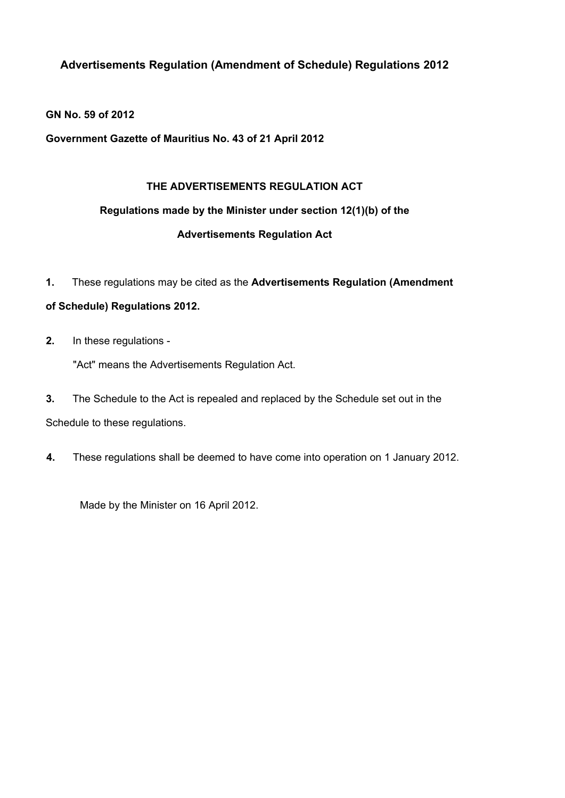**Advertisements Regulation (Amendment of Schedule) Regulations 2012**

**GN No. 59 of 2012**

**Government Gazette of Mauritius No. 43 of 21 April 2012**

# **THE ADVERTISEMENTS REGULATION ACT**

# **Regulations made by the Minister under section 12(1)(b) of the**

# **Advertisements Regulation Act**

**1.** These regulations may be cited as the **Advertisements Regulation (Amendment**

# **of Schedule) Regulations 2012.**

**2.** In these regulations -

"Act" means the Advertisements Regulation Act.

**3.** The Schedule to the Act is repealed and replaced by the Schedule set out in the

Schedule to these regulations.

**4.** These regulations shall be deemed to have come into operation on 1 January 2012.

Made by the Minister on 16 April 2012.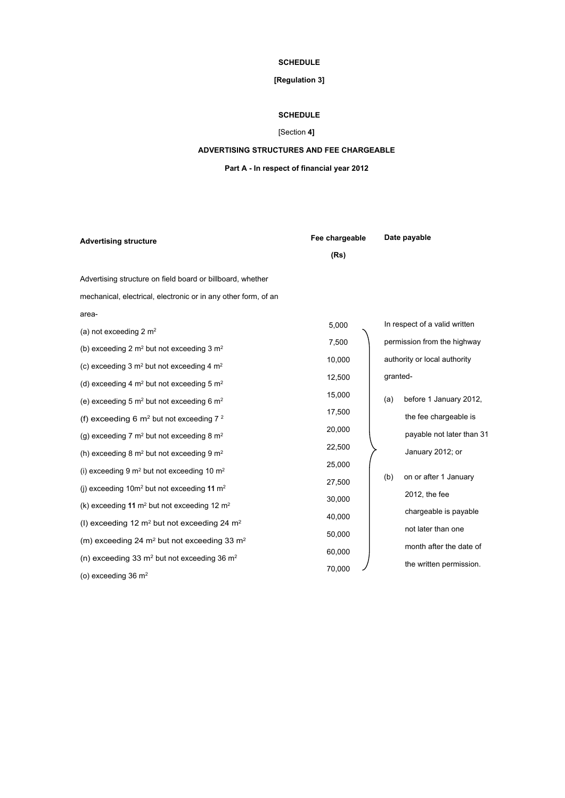## **SCHEDULE**

### **[Regulation 3]**

#### **SCHEDULE**

## [Section **4]**

#### **ADVERTISING STRUCTURES AND FEE CHARGEABLE**

#### **Part A - In respect of financial year 2012**

| <b>Advertising structure</b>                                        | Fee chargeable |     | Date payable                  |  |
|---------------------------------------------------------------------|----------------|-----|-------------------------------|--|
|                                                                     | (Rs)           |     |                               |  |
| Advertising structure on field board or billboard, whether          |                |     |                               |  |
| mechanical, electrical, electronic or in any other form, of an      |                |     |                               |  |
| area-                                                               |                |     |                               |  |
| (a) not exceeding 2 $m2$                                            | 5,000          |     | In respect of a valid written |  |
| (b) exceeding 2 $m2$ but not exceeding 3 $m2$                       | 7,500          |     | permission from the highway   |  |
| (c) exceeding 3 $m2$ but not exceeding 4 $m2$                       | 10,000         |     | authority or local authority  |  |
| (d) exceeding 4 $m2$ but not exceeding 5 $m2$                       | 12,500         |     | granted-                      |  |
| (e) exceeding 5 $m2$ but not exceeding 6 $m2$                       | 15,000         | (a) | before 1 January 2012,        |  |
| (f) exceeding 6 $m2$ but not exceeding $72$                         | 17,500         |     | the fee chargeable is         |  |
|                                                                     | 20,000         |     | payable not later than 31     |  |
| (g) exceeding 7 $m2$ but not exceeding 8 $m2$                       | 22,500         |     |                               |  |
| (h) exceeding 8 $m2$ but not exceeding 9 $m2$                       | 25,000         |     | January 2012; or              |  |
| (i) exceeding 9 $m2$ but not exceeding 10 $m2$                      | 27,500         | (b) | on or after 1 January         |  |
| (j) exceeding 10m <sup>2</sup> but not exceeding 11 m <sup>2</sup>  |                |     | 2012, the fee                 |  |
| (k) exceeding 11 m <sup>2</sup> but not exceeding 12 m <sup>2</sup> | 30,000         |     | chargeable is payable         |  |
| (I) exceeding 12 $m2$ but not exceeding 24 $m2$                     | 40,000         |     | not later than one            |  |
| (m) exceeding 24 $m2$ but not exceeding 33 $m2$                     | 50,000         |     | month after the date of       |  |
| (n) exceeding 33 $m2$ but not exceeding 36 $m2$                     | 60,000         |     |                               |  |
| (o) exceeding $36 \text{ m}^2$                                      | 70,000         |     | the written permission.       |  |